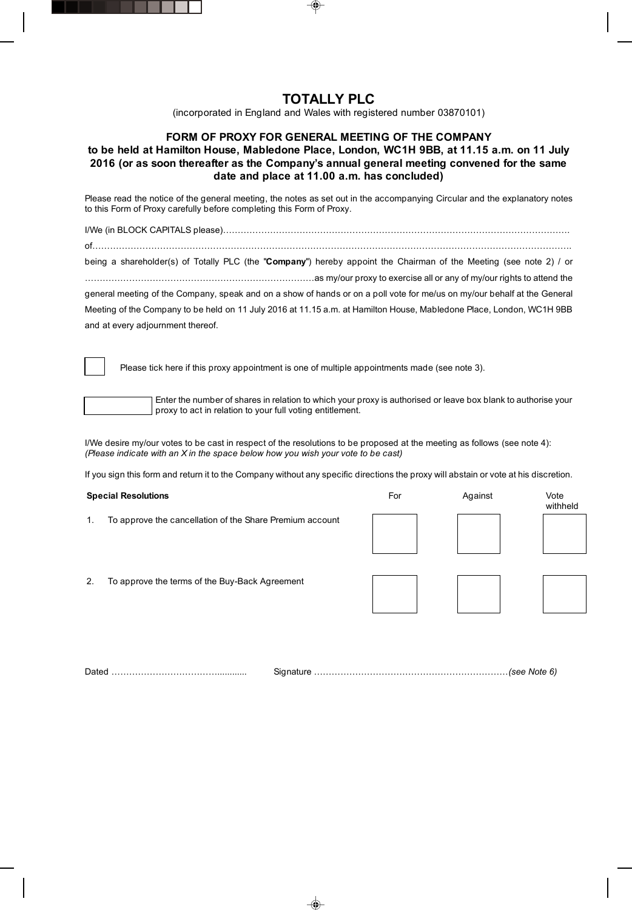## TOTALLY PLC

(incorporated in England and Wales with registered number 03870101)

## FORM OF PROXY FOR GENERAL MEETING OF THE COMPANY

## to be held at Hamilton House, Mabledone Place, London, WC1H 9BB, at 11.15 a.m. on 11 July 2016 (or as soon thereafter as the Company's annual general meeting convened for the same date and place at 11.00 a.m. has concluded)

Please read the notice of the general meeting, the notes as set out in the accompanying Circular and the explanatory notes to this Form of Proxy carefully before completing this Form of Proxy.

| being a shareholder(s) of Totally PLC (the "Company") hereby appoint the Chairman of the Meeting (see note 2) / or       |
|--------------------------------------------------------------------------------------------------------------------------|
|                                                                                                                          |
| general meeting of the Company, speak and on a show of hands or on a poll vote for me/us on my/our behalf at the General |
| Meeting of the Company to be held on 11 July 2016 at 11.15 a.m. at Hamilton House, Mabledone Place, London, WC1H 9BB     |
| and at every adjournment thereof.                                                                                        |
|                                                                                                                          |

Please tick here if this proxy appointment is one of multiple appointments made (see note 3).

ſ

Enter the number of shares in relation to which your proxy is authorised or leave box blank to authorise your proxy to act in relation to your full voting entitlement.

I/We desire my/our votes to be cast in respect of the resolutions to be proposed at the meeting as follows (see note 4): *(Please indicate with an X in the space below how you wish your vote to be cast)*

If you sign this form and return it to the Company without any specific directions the proxy will abstain or vote at his discretion.

| <b>Special Resolutions</b> |                                                          | For | Against | Vote<br>withheld |
|----------------------------|----------------------------------------------------------|-----|---------|------------------|
| 1.                         | To approve the cancellation of the Share Premium account |     |         |                  |
| 2.                         | To approve the terms of the Buy-Back Agreement           |     |         |                  |

Dated ………………………………............ Signature …………………………………………………………*(see Note 6)*